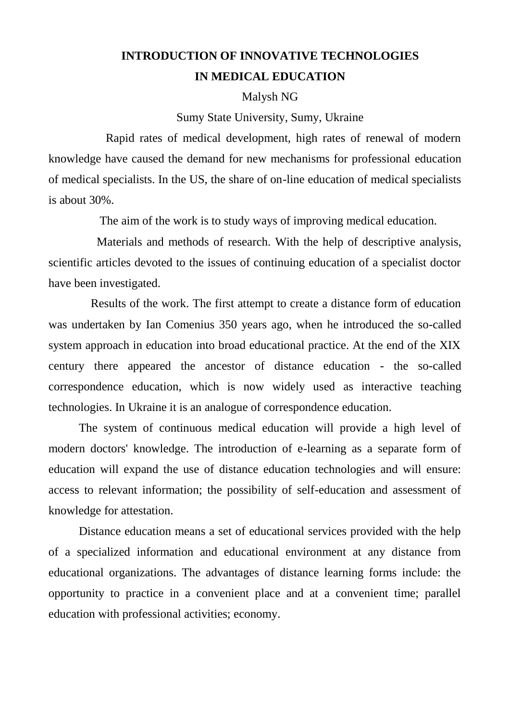## **INTRODUCTION OF INNOVATIVE TECHNOLOGIES IN MEDICAL EDUCATION**

## Malysh NG

## Sumy State University, Sumy, Ukraine

Rapid rates of medical development, high rates of renewal of modern knowledge have caused the demand for new mechanisms for professional education of medical specialists. In the US, the share of on-line education of medical specialists is about 30%.

The aim of the work is to study ways of improving medical education.

Materials and methods of research. With the help of descriptive analysis, scientific articles devoted to the issues of continuing education of a specialist doctor have been investigated.

Results of the work. The first attempt to create a distance form of education was undertaken by Ian Comenius 350 years ago, when he introduced the so-called system approach in education into broad educational practice. At the end of the XIX century there appeared the ancestor of distance education - the so-called correspondence education, which is now widely used as interactive teaching technologies. In Ukraine it is an analogue of correspondence education.

The system of continuous medical education will provide a high level of modern doctors' knowledge. The introduction of e-learning as a separate form of education will expand the use of distance education technologies and will ensure: access to relevant information; the possibility of self-education and assessment of knowledge for attestation.

Distance education means a set of educational services provided with the help of a specialized information and educational environment at any distance from educational organizations. The advantages of distance learning forms include: the opportunity to practice in a convenient place and at a convenient time; parallel education with professional activities; economy.